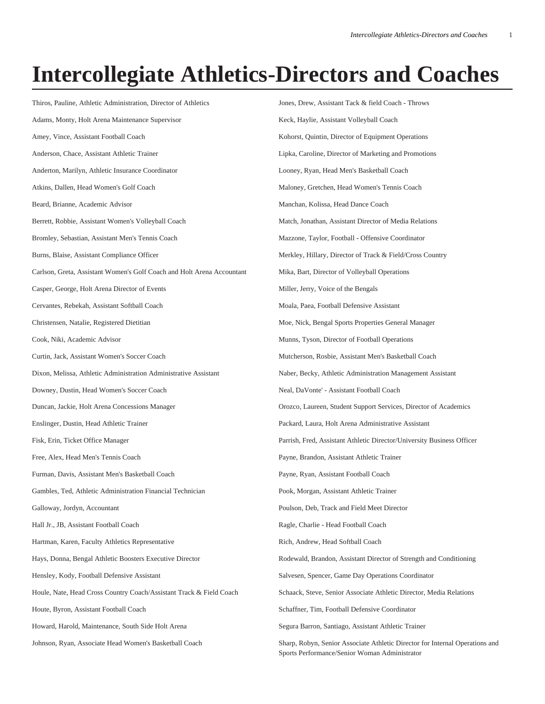## **Intercollegiate Athletics-Directors and Coaches**

Thiros, Pauline, Athletic Administration, Director of Athletics Adams, Monty, Holt Arena Maintenance Supervisor Amey, Vince, Assistant Football Coach Anderson, Chace, Assistant Athletic Trainer Anderton, Marilyn, Athletic Insurance Coordinator Atkins, Dallen, Head Women's Golf Coach Beard, Brianne, Academic Advisor Berrett, Robbie, Assistant Women's Volleyball Coach Bromley, Sebastian, Assistant Men's Tennis Coach Burns, Blaise, Assistant Compliance Officer Carlson, Greta, Assistant Women's Golf Coach and Holt Arena Accountant Casper, George, Holt Arena Director of Events Cervantes, Rebekah, Assistant Softball Coach Christensen, Natalie, Registered Dietitian Cook, Niki, Academic Advisor Curtin, Jack, Assistant Women's Soccer Coach Dixon, Melissa, Athletic Administration Administrative Assistant Downey, Dustin, Head Women's Soccer Coach Duncan, Jackie, Holt Arena Concessions Manager Enslinger, Dustin, Head Athletic Trainer Fisk, Erin, Ticket Office Manager Free, Alex, Head Men's Tennis Coach Furman, Davis, Assistant Men's Basketball Coach Gambles, Ted, Athletic Administration Financial Technician Galloway, Jordyn, Accountant Hall Jr., JB, Assistant Football Coach Hartman, Karen, Faculty Athletics Representative Hays, Donna, Bengal Athletic Boosters Executive Director Hensley, Kody, Football Defensive Assistant Houle, Nate, Head Cross Country Coach/Assistant Track & Field Coach Houte, Byron, Assistant Football Coach Howard, Harold, Maintenance, South Side Holt Arena Johnson, Ryan, Associate Head Women's Basketball Coach Jones, Drew, Assistant Tack & field Coach - Throws Keck, Haylie, Assistant Volleyball Coach Kohorst, Quintin, Director of Equipment Operations Lipka, Caroline, Director of Marketing and Promotions Looney, Ryan, Head Men's Basketball Coach Maloney, Gretchen, Head Women's Tennis Coach Manchan, Kolissa, Head Dance Coach Match, Jonathan, Assistant Director of Media Relations Mazzone, Taylor, Football - Offensive Coordinator Merkley, Hillary, Director of Track & Field/Cross Country Mika, Bart, Director of Volleyball Operations Miller, Jerry, Voice of the Bengals Moala, Paea, Football Defensive Assistant Moe, Nick, Bengal Sports Properties General Manager Munns, Tyson, Director of Football Operations Mutcherson, Rosbie, Assistant Men's Basketball Coach Naber, Becky, Athletic Administration Management Assistant Neal, DaVonte' - Assistant Football Coach Orozco, Laureen, Student Support Services, Director of Academics Packard, Laura, Holt Arena Administrative Assistant Parrish, Fred, Assistant Athletic Director/University Business Officer Payne, Brandon, Assistant Athletic Trainer Payne, Ryan, Assistant Football Coach Pook, Morgan, Assistant Athletic Trainer Poulson, Deb, Track and Field Meet Director Ragle, Charlie - Head Football Coach Rich, Andrew, Head Softball Coach Rodewald, Brandon, Assistant Director of Strength and Conditioning Salvesen, Spencer, Game Day Operations Coordinator Schaack, Steve, Senior Associate Athletic Director, Media Relations Schaffner, Tim, Football Defensive Coordinator Segura Barron, Santiago, Assistant Athletic Trainer Sharp, Robyn, Senior Associate Athletic Director for Internal Operations and Sports Performance/Senior Woman Administrator